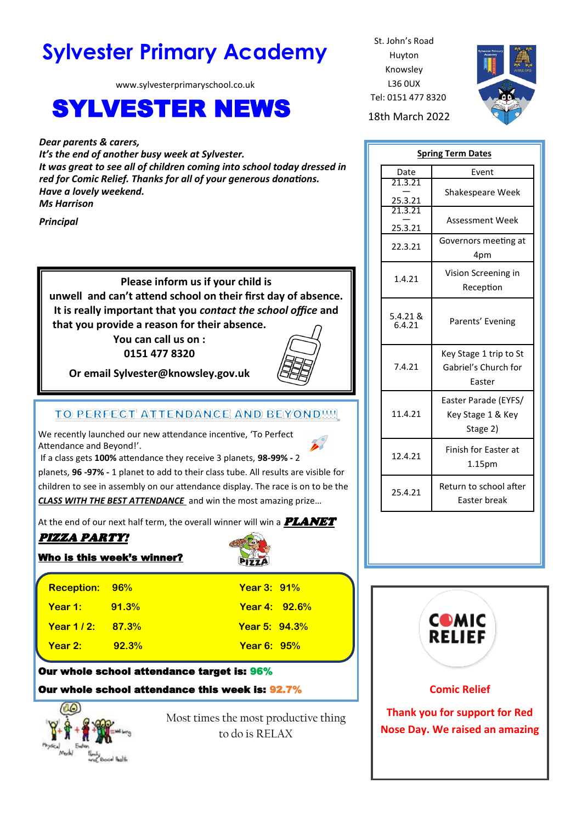# **Sylvester Primary Academy** St. John's Road

www.sylvesterprimaryschool.co.uk

# SYLVESTER NEWS 18th March 2022

*Dear parents & carers, It's the end of another busy week at Sylvester. It was great to see all of children coming into school today dressed in red for Comic Relief. Thanks for all of your generous donations. Have a lovely weekend. Ms Harrison*

*Principal*

**Please inform us if your child is unwell and can't attend school on their first day of absence. It is really important that you** *contact the school office* **and that you provide a reason for their absence.**

**You can call us on : 0151 477 8320**



**Or email Sylvester@knowsley.gov.uk**

## TO PERFECT ATTENDANCE AND BEYOND !!!!

We recently launched our new attendance incentive, 'To Perfect Attendance and Beyond!'.

If a class gets **100%** attendance they receive 3 planets, **98-99% -** 2

planets, **96 -97% -** 1 planet to add to their class tube. All results are visible for children to see in assembly on our attendance display. The race is on to be the *CLASS WITH THE BEST ATTENDANCE* and win the most amazing prize…

At the end of our next half term, the overall winner will win a  $\textbf{PLANET}$ 

# PIZZA PARTY!

Who is this week's winner?



| Reception: 96%         |       | <b>Year 3: 91%</b>   |
|------------------------|-------|----------------------|
| <b>Year 1:</b> 91.3%   |       | <b>Year 4: 92.6%</b> |
| <b>Year 1/2: 87.3%</b> |       | <b>Year 5: 94.3%</b> |
| Year 2:                | 92.3% | <b>Year 6: 95%</b>   |

## Our whole school attendance target is: 96% Our whole school attendance this week is: 92.7%

Most times the most productive thing to do is RELAX

Huyton Knowsley L36 0UX Tel: 0151 477 8320



| <b>Spring Term Dates</b> |                                                          |  |
|--------------------------|----------------------------------------------------------|--|
| Date                     | Event                                                    |  |
| 21.3.21                  | Shakespeare Week                                         |  |
| 25.3.21<br>21.3.21       |                                                          |  |
|                          | <b>Assessment Week</b>                                   |  |
| 25.3.21                  |                                                          |  |
| 22.3.21                  | Governors meeting at<br>4pm                              |  |
| 1.4.21                   | Vision Screening in<br>Reception                         |  |
| 5.4.21 &<br>6.4.21       | Parents' Evening                                         |  |
| 7.4.21                   | Key Stage 1 trip to St<br>Gabriel's Church for<br>Easter |  |
| 11.4.21                  | Easter Parade (EYFS/<br>Key Stage 1 & Key<br>Stage 2)    |  |
| 12.4.21                  | Finish for Easter at<br>1.15pm                           |  |
| 25.4.21                  | Return to school after<br>Easter break                   |  |